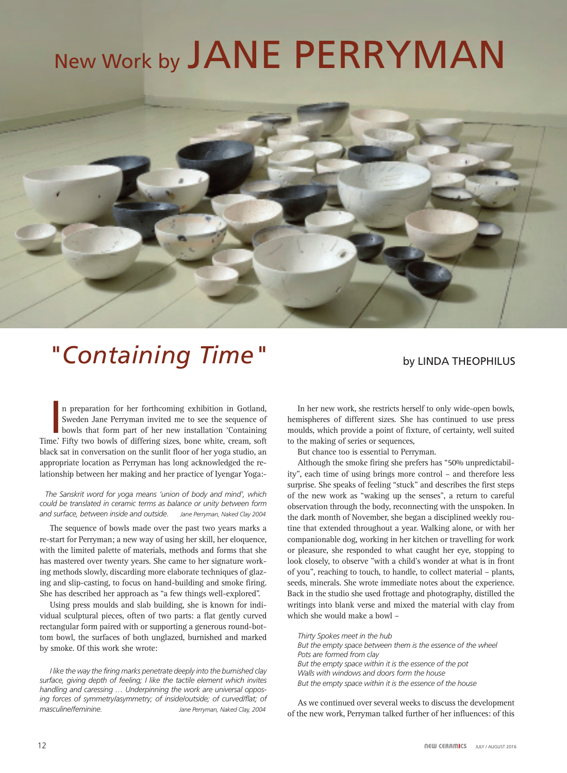# New Work by JANE PERRYMAN



## **"Containing Time"** by LINDA THEOPHILUS

n preparation for her forthcoming exhibition in Gotland, Sweden Jane Perryman invited me to see the sequence of bowls that form part of her new installation 'Containing Time.' Fifty two bowls of differing sizes, bone white n preparation for her forthcoming exhibition in Gotland, Sweden Jane Perryman invited me to see the sequence of bowls that form part of her new installation 'Containing black sat in conversation on the sunlit floor of her yoga studio, an appropriate location as Perryman has long acknowledged the relationship between her making and her practice of Iyengar Yoga:-

#### *The Sanskrit word for yoga means 'union of body and mind', which could be translated in ceramic terms as balance or unity between form and surface, between inside and outside*. *Jane Perryman, Naked Clay 2004*

The sequence of bowls made over the past two years marks a re-start for Perryman; a new way of using her skill, her eloquence, with the limited palette of materials, methods and forms that she has mastered over twenty years. She came to her signature working methods slowly, discarding more elaborate techniques of glazing and slip-casting, to focus on hand-building and smoke firing. She has described her approach as "a few things well-explored".

Using press moulds and slab building, she is known for individual sculptural pieces, often of two parts: a flat gently curved rectangular form paired with or supporting a generous round-bottom bowl, the surfaces of both unglazed, burnished and marked by smoke. Of this work she wrote:

*I like the way the firing marks penetrate deeply into the burnished clay surface, giving depth of feeling; I like the tactile element which invites handling and caressing … Underpinning the work are universal opposing forces of symmetry/asymmetry; of inside/outside; of curved/flat; of masculine/feminine. Jane Perryman, Naked Clay, 2004*

In her new work, she restricts herself to only wide-open bowls, hemispheres of different sizes. She has continued to use press moulds, which provide a point of fixture, of certainty, well suited to the making of series or sequences,

But chance too is essential to Perryman.

Although the smoke firing she prefers has "50% unpredictability", each time of using brings more control – and therefore less surprise. She speaks of feeling "stuck" and describes the first steps of the new work as "waking up the senses", a return to careful observation through the body, reconnecting with the unspoken. In the dark month of November, she began a disciplined weekly routine that extended throughout a year. Walking alone, or with her companionable dog, working in her kitchen or travelling for work or pleasure, she responded to what caught her eye, stopping to look closely, to observe "with a child's wonder at what is in front of you", reaching to touch, to handle, to collect material – plants, seeds, minerals. She wrote immediate notes about the experience. Back in the studio she used frottage and photography, distilled the writings into blank verse and mixed the material with clay from which she would make a bowl –

*Thirty Spokes meet in the hub But the empty space between them is the essence of the wheel Pots are formed from clay But the empty space within it is the essence of the pot Walls with windows and doors form the house But the empty space within it is the essence of the house*

As we continued over several weeks to discuss the development of the new work, Perryman talked further of her influences: of this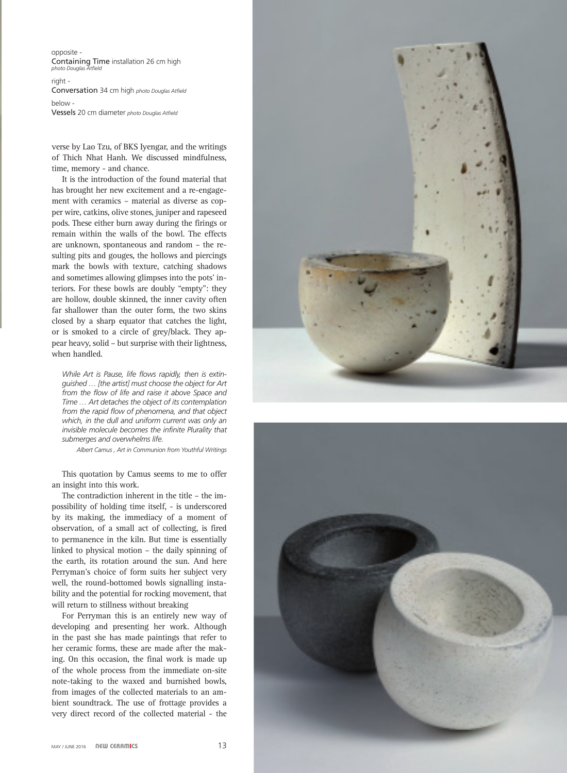opposite - Containing Time installation 26 cm high *photo Douglas* 

right - Conversation 34 cm high *photo Douglas Atfield*

below - Vessels 20 cm diameter *photo Douglas Atfield*

verse by Lao Tzu, of BKS Iyengar, and the writings of Thich Nhat Hanh. We discussed mindfulness, time, memory - and chance.

It is the introduction of the found material that has brought her new excitement and a re-engagement with ceramics – material as diverse as copper wire, catkins, olive stones, juniper and rapeseed pods. These either burn away during the firings or remain within the walls of the bowl. The effects are unknown, spontaneous and random – the resulting pits and gouges, the hollows and piercings mark the bowls with texture, catching shadows and sometimes allowing glimpses into the pots' interiors. For these bowls are doubly "empty": they are hollow, double skinned, the inner cavity often far shallower than the outer form, the two skins closed by a sharp equator that catches the light, or is smoked to a circle of grey/black. They appear heavy, solid – but surprise with their lightness, when handled.

*While Art is Pause, life flows rapidly, then is extinguished … [the artist] must choose the object for Art from the flow of life and raise it above Space and Time … Art detaches the object of its contemplation from the rapid flow of phenomena, and that object which, in the dull and uniform current was only an invisible molecule becomes the infinite Plurality that submerges and overwhelms life.*

 *Albert Camus , Art in Communion from Youthful Writings*

This quotation by Camus seems to me to offer an insight into this work.

The contradiction inherent in the title – the impossibility of holding time itself, - is underscored by its making, the immediacy of a moment of observation, of a small act of collecting, is fired to permanence in the kiln. But time is essentially linked to physical motion – the daily spinning of the earth, its rotation around the sun. And here Perryman's choice of form suits her subject very well, the round-bottomed bowls signalling instability and the potential for rocking movement, that will return to stillness without breaking

For Perryman this is an entirely new way of developing and presenting her work. Although in the past she has made paintings that refer to her ceramic forms, these are made after the making. On this occasion, the final work is made up of the whole process from the immediate on-site note-taking to the waxed and burnished bowls, from images of the collected materials to an ambient soundtrack. The use of frottage provides a very direct record of the collected material - the